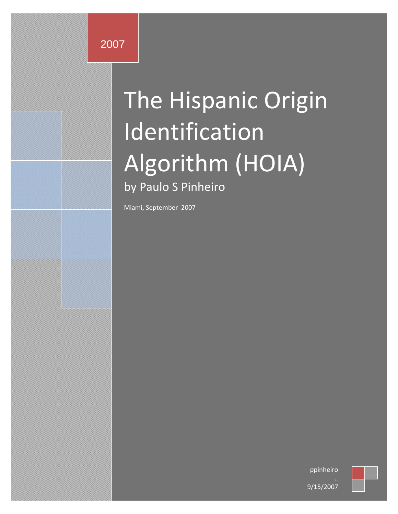# The Hispanic Origin Identification Algorithm (HOIA) by Paulo S Pinheiro

Miami, September 2007

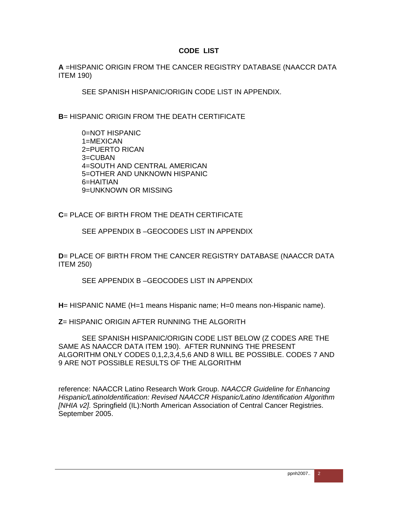#### **CODE LIST**

**A** =HISPANIC ORIGIN FROM THE CANCER REGISTRY DATABASE (NAACCR DATA ITEM 190)

SEE SPANISH HISPANIC/ORIGIN CODE LIST IN APPENDIX.

**B**= HISPANIC ORIGIN FROM THE DEATH CERTIFICATE

0=NOT HISPANIC 1=MEXICAN 2=PUERTO RICAN 3=CUBAN 4=SOUTH AND CENTRAL AMERICAN 5=OTHER AND UNKNOWN HISPANIC 6=HAITIAN 9=UNKNOWN OR MISSING

**C**= PLACE OF BIRTH FROM THE DEATH CERTIFICATE

SEE APPENDIX B –GEOCODES LIST IN APPENDIX

**D**= PLACE OF BIRTH FROM THE CANCER REGISTRY DATABASE (NAACCR DATA ITEM 250)

SEE APPENDIX B –GEOCODES LIST IN APPENDIX

**H**= HISPANIC NAME (H=1 means Hispanic name; H=0 means non-Hispanic name).

**Z**= HISPANIC ORIGIN AFTER RUNNING THE ALGORITH

SEE SPANISH HISPANIC/ORIGIN CODE LIST BELOW (Z CODES ARE THE SAME AS NAACCR DATA ITEM 190). AFTER RUNNING THE PRESENT ALGORITHM ONLY CODES 0,1,2,3,4,5,6 AND 8 WILL BE POSSIBLE. CODES 7 AND 9 ARE NOT POSSIBLE RESULTS OF THE ALGORITHM

reference: NAACCR Latino Research Work Group. *NAACCR Guideline for Enhancing Hispanic/LatinoIdentification: Revised NAACCR Hispanic/Latino Identification Algorithm [NHIA v2].* Springfield (IL):North American Association of Central Cancer Registries. September 2005.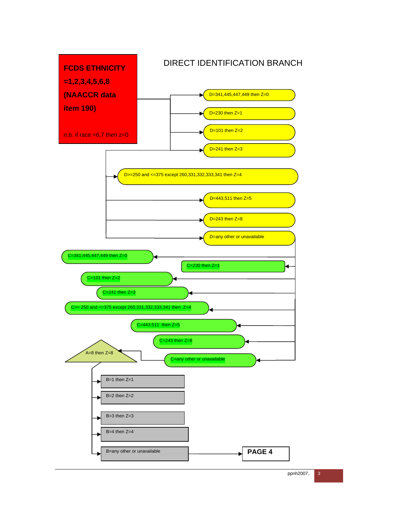

ppnh2007.. 3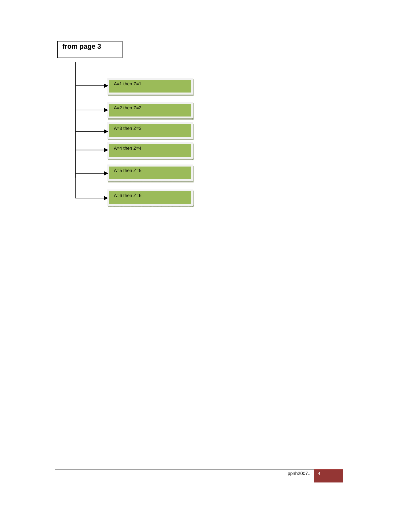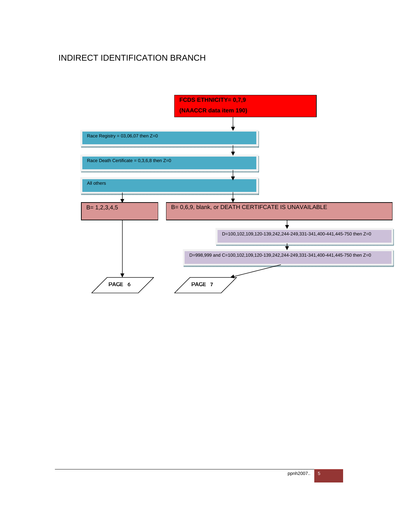## INDIRECT IDENTIFICATION BRANCH

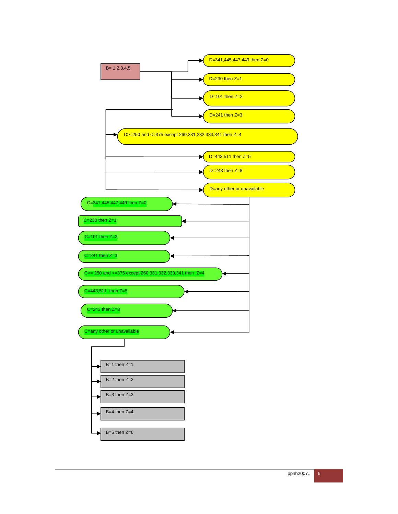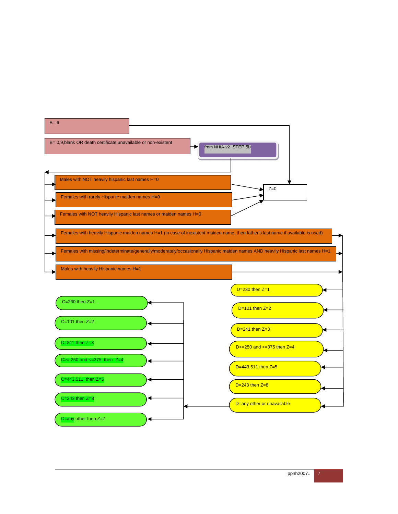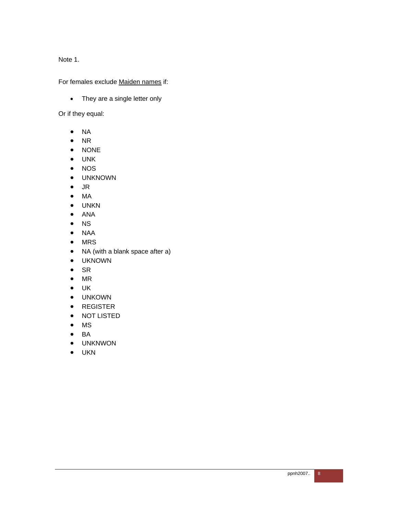Note 1.

For females exclude Maiden names if:

• They are a single letter only

Or if they equal:

- $\bullet$  NA
- $\bullet$  NR
- NONE
- UNK
- NOS
- UNKNOWN
- JR
- MA
- UNKN
- ANA
- NS
- NAA
- MRS
- NA (with a blank space after a)
- UKNOWN
- $\bullet$  SR
- $\bullet$  MR
- UK
- UNKOWN
- REGISTER
- NOT LISTED
- MS
- $\bullet$  BA
- UNKNWON
- UKN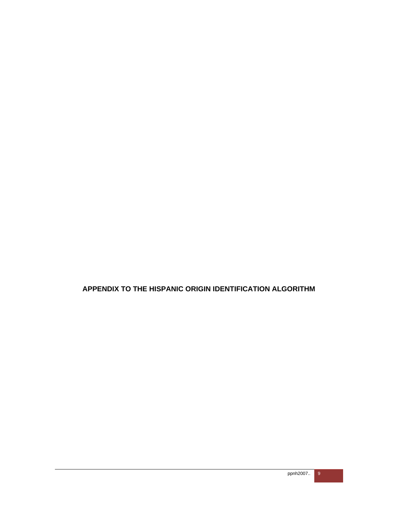**APPENDIX TO THE HISPANIC ORIGIN IDENTIFICATION ALGORITHM**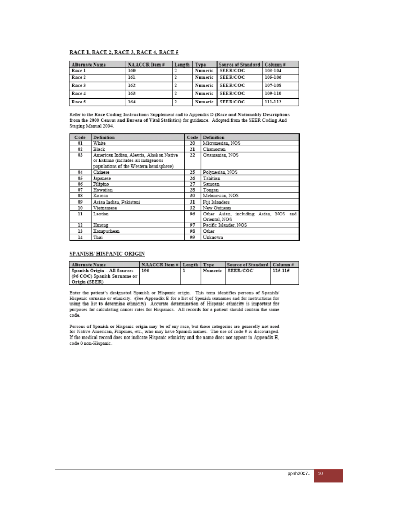#### RACE 1, RACE 2, RACE 3, RACE 4, RACE 5

| Alternate Name | NAACCR Item# | Length | Type    | Source of Standard   Column # |         |
|----------------|--------------|--------|---------|-------------------------------|---------|
| Race 1         | 160          |        |         | Numeric SEER/COC              | 103-104 |
| Race 2         | 161          |        |         | Numeric SEER/COC              | 105-106 |
| Race 3         | 162.         |        |         | Numeric SEER/COC              | 107-108 |
| Race 4         | 163          |        |         | Numeric SEER/COC              | 109-110 |
| Race 5         | 164          |        | Numeric | <b>SEER/COC</b>               | 111-112 |

Refer to the Race Coding Instructions Supplement and to Appendix D (Race and Nationality Descriptions from the 2000 Census and Bureau of Vital Statistics) for guidance. Adopted from the SEER Coding And Staging Manual 2004.

| Code | Definition                                                                                                                | Code | Definition                                             |
|------|---------------------------------------------------------------------------------------------------------------------------|------|--------------------------------------------------------|
| 01   | White                                                                                                                     | 20   | Micronesian, NOS                                       |
| 02   | Black                                                                                                                     | 21   | Chamorran                                              |
| 03   | American Indian, Aleutia, Alask an Native<br>or Eskimo (includes all indigenous<br>populations of the Western hemisphere) | 22   | Guamanian, NOS                                         |
| 04   | Chinese                                                                                                                   | 25   | Polynesian, NOS                                        |
| 05   | Japanese                                                                                                                  | 26   | Tahitian                                               |
| 06   | Filipino                                                                                                                  | 27   | Samoam                                                 |
| 07   | Hawaiian                                                                                                                  | 28   | Tongan                                                 |
| 08   | Korean                                                                                                                    | 30   | Melanesian, NOS                                        |
| 00   | Asian Indian, Pakistani                                                                                                   | 31   | Fiii Islanders                                         |
| 10   | Vietnamese                                                                                                                | 32   | New Guinean                                            |
| 11   | Laotian                                                                                                                   | 96   | Other Asian, including Asian, NOS and<br>Oriental, NOS |
| 12   | Hmong                                                                                                                     | 07   | Pacific Islander, NOS                                  |
| 13   | Kampuchean                                                                                                                | 98   | Other                                                  |
| 14   | Thai                                                                                                                      | 99   | Unknown                                                |

#### SPANISH/HISPANIC ORIGIN

| <b>Alternate Name</b>        | NAACCR Item #   Length   Type |  | Source of Standard   Column # |         |
|------------------------------|-------------------------------|--|-------------------------------|---------|
| Spanish Origin - All Sources | 190                           |  | Numeric SEER/COC              | 115-115 |
| (96 COC) Spanish Surname or  |                               |  |                               |         |
| Origin (SEER)                |                               |  |                               |         |

Enter the patient's designated Spanish or Hispanic origin. This term identifies persons of Spanish/ Hispanic surname or ethnicity. (See Appendix E for a list of Spanish surnames and for instructions for using the list to determine ethnicity) Accurate determination of Hispanic ethnicity is important for purposes for calculating cancer rates for Hispanics. All records for a patient should contain the same code.

Persons of Spanish or Hispanic origin may be of any race, but these categories are generally not used for Native American, Filipinos, etc., who may have Spanish names. The use of code 9 is discouraged. If the medical record does not indicate Hispanic ethnicity and the name does not appear in Appendix E, code 0 non-Hispanic.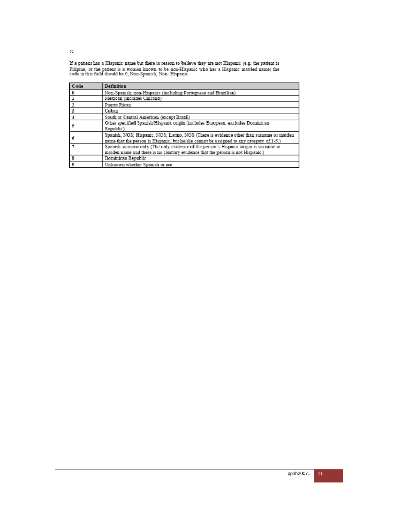If a patient has a Hispanic name but there is reason to believe they are not Hispanic (e.g. the patient is Filipino, or the patient is a woman known to be non-Hispanic who has a Hispanic married name) the code in this fie

| Code | Definition                                                                               |
|------|------------------------------------------------------------------------------------------|
|      | Non-Spanish; non-Hispanic (including Portuguese and Brazilian)                           |
|      | Mexican (includes Chicano)                                                               |
|      | Puerto Rican                                                                             |
|      | Cuban                                                                                    |
|      | South or Central American (except Brazil)                                                |
|      | Other specified Spanish/Hispanic origin (includes European; excludes Dominican           |
|      | Republic')                                                                               |
|      | Spanish, NOS; Hispanic, NOS; Latino, NOS (There is evidence other than surname or maiden |
|      | name that the person is Hispanic, but he/she cannot be assigned to any category of 1-5.) |
|      | Spanish surname only (The only evidence of the person's Hispanic origin is surname or    |
|      | maiden name and there is no contrary evidence that the person is not Hispanic.)          |
|      | Dominican Republic                                                                       |
|      | Unknown whether Spanish or not                                                           |

50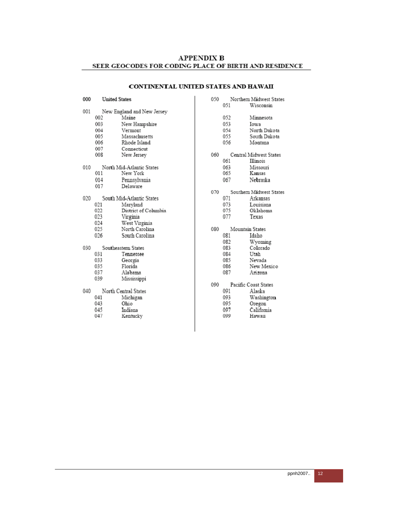#### CONTINENTAL UNITED STATES AND HAWAII

050

051

#### 000 **United States** 001 New England and New Jersey 002 Maine New Hampshire 003 004 Vermont 005 Massachusetts 006 Rhode Island 007 Connecticut 008 New Jersey 010 North Mid-Atlantic States 011 New York 014 Pennsylvania Delaware 017 South Mid-Atlantic States 020 021 Maryland District of Columbia 022  $023$ Virginia 024 West Virginia 025 North Carolina 026 South Carolina 030 Southeastern States Tennessee 031 033 Georgia 035 Florida 037 Alabama 039 Mississippi 040 North Central States  $041$ Michigan 043 Ohio 045 Indiana

047 Kentucky

052 Minnesota 053 Iowa 054 North Dakota 055 South Dakota 056 Montana 060 Central Midwest States 061 Illinois 063 Missouri 065 Kansas 067 Nebraska 070 Southern Midwest States 071 Arkansas 073 Louisiana Oklahoma 075 077 Texas 080 Mountain States 081 Idaho Wyoming 082 083 Colorado 084 Utah 085 Nevada 086 New Mexico 087 Arizona 090 Pacific Coast States 091 Alaska 093 Washington 095 Oregon 097

Northem Midwest States

Wisconsin

California 099 Hawaii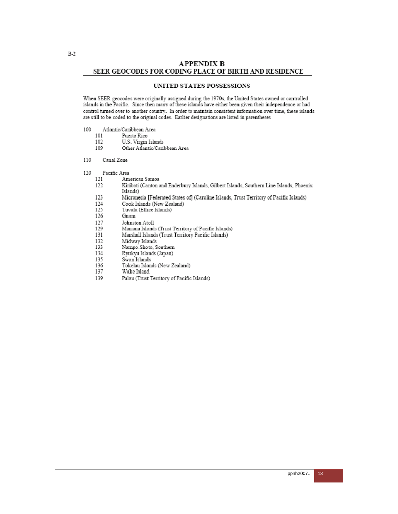#### UNITED STATES POSSESSIONS

When SEER geocodes were originally assigned during the 1970s, the United States owned or controlled islands in the Pacific. Since then many of these islands have either been given their independence or had control turned over to another country. In order to maintain consistent information over time, these islands are still to be coded to the original codes. Earlier designations are listed in parentheses

- Atlantic/Caribbean Area 100
	- 101 Puerto Rico
	- 102 U.S. Virgin Islands
	- 109 Other Atlantic/Caribbean Area
- 110 Canal Zone
- 120 Pacific Area
	- 121 American Samoa
	- 122 Kiribati (Canton and Enderbury Islands, Gilbert Islands, Southern Line Islands, Phoenix Islands)
	- 123 Micronesia [Federated States of] (Caroline Islands, Trust Territory of Pacific Islands)
	- 124 Cook Islands (New Zealand)
	- Tuvalu (Ellice Islands) 125
	- 126 Guam
	- 127 Johnston Atoll
	- Mariana Islands (Trust Territory of Pacific Islands) 129
	- 131 Marshall Islands (Trust Territory Pacific Islands)
	- Midway Islands 132
	- 133 Nampo-Shoto, Southern
	- 134 Ryukyu Islands (Japan)
	- 135 Swan Islands
	- Tokelau Islands (New Zealand) 136
	- 137 Wake Island
	- 139 Palau (Trust Territory of Pacific Islands)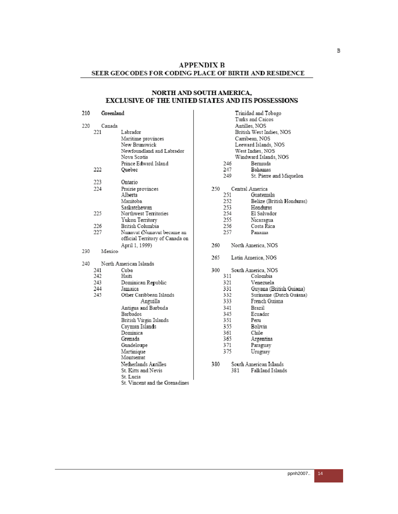#### NORTH AND SOUTH AMERICA, EXCLUSIVE OF THE UNITED STATES AND ITS POSSESSIONS

210 Greenland

| 220  | Canada |                                 |
|------|--------|---------------------------------|
|      | 221    | Labrador                        |
|      |        | Maritime provinces              |
|      |        | New Brunswick                   |
|      |        | Newfoundland and Labrador       |
|      |        | Nova Scotia                     |
|      |        | Prince Edward Island            |
|      | 222    | Quebec                          |
|      |        |                                 |
|      | 223    | Ontario                         |
|      | 224    | Prairie provinces               |
|      |        | Alberta                         |
|      |        | Manitoba                        |
|      |        | Saskatchewan                    |
|      | 225    | Northwest Territories           |
|      |        | Yukon Territory                 |
|      | 226    | British Columbia                |
|      | 227    | Nunavut (Nunavut became an      |
|      |        | official Territory of Canada on |
|      |        | April 1, 1999)                  |
| 230  | Mexico |                                 |
|      |        |                                 |
| 240. |        | North American Islands          |
|      | 241    | Cuba                            |
|      | 242    | Haiti                           |
|      | 243    | Dominican Republic              |
|      | 244    | Jamaica                         |
|      | 245    | Other Caribbean Islands         |
|      |        | Anguilla                        |
|      |        | Antigua and Barbuda             |
|      |        | Barbados                        |
|      |        | British Virgin Islands          |
|      |        | Cayman Islands                  |
|      |        | Dominica                        |
|      |        | Grenada                         |
|      |        | Guadeloupe                      |
|      |        | Martinique                      |

Martinique<br>Montserrat Netherlands Antilles

- St. Kitts and Nevis
- St. Lucia
- St. Vincent and the Grenadines

|     |     | Trinidad and Tobago<br>Turks and Caicos<br>Antilles, NOS<br>British West Indies, NOS<br>Carribean, NOS<br>Leeward Islands, NOS<br>West Indies, NOS<br>Windward Islands, NOS |
|-----|-----|-----------------------------------------------------------------------------------------------------------------------------------------------------------------------------|
|     | 246 | Bermuda                                                                                                                                                                     |
|     | 247 | Bahamas                                                                                                                                                                     |
|     | 249 | St. Pierre and Miquelon                                                                                                                                                     |
| 250 | 251 | Central America<br>Guatemala                                                                                                                                                |
|     | 252 | Belize (British Honduras)                                                                                                                                                   |
|     | 253 | Honduras                                                                                                                                                                    |
|     | 254 | El Salvador                                                                                                                                                                 |
|     | 255 | Nicaragua.                                                                                                                                                                  |
|     | 256 | Costa Rica                                                                                                                                                                  |
|     | 257 | Panama                                                                                                                                                                      |
| 260 |     | North America, NOS                                                                                                                                                          |
|     |     |                                                                                                                                                                             |
| 265 |     | Latin America, NOS                                                                                                                                                          |
| 300 |     | South America, NOS                                                                                                                                                          |
|     | 311 | Colombia                                                                                                                                                                    |
|     | 321 | Venezuela                                                                                                                                                                   |
|     | 331 | Guyana (British Guiana)                                                                                                                                                     |
|     | 332 | Suriname (Dutch Guiana)                                                                                                                                                     |
|     | 333 | French Guiana                                                                                                                                                               |
|     | 341 | Brazil                                                                                                                                                                      |
|     | 345 | Ecuador                                                                                                                                                                     |
|     | 351 | Peru                                                                                                                                                                        |
|     | 355 | Bolivia                                                                                                                                                                     |
|     | 361 | Chile                                                                                                                                                                       |
|     | 365 | Argentina                                                                                                                                                                   |
|     | 371 | Paraguay                                                                                                                                                                    |
|     | 375 | Uruguay                                                                                                                                                                     |

Falkland Islands

381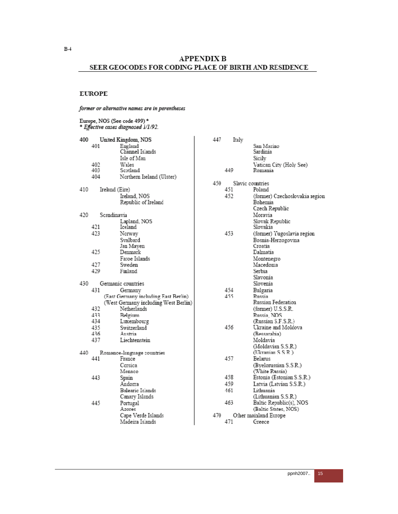$B-4$ 

#### **APPENDIX B** SEER GEOCODES FOR CODING PLACE OF BIRTH AND RESIDENCE

#### **EUROPE**

#### former or alternative names are in parentheses

| Europe, NOS (See code 499)*<br>* Effective cases diagnosed 1/1/92. |                                                                  |  |  |  |
|--------------------------------------------------------------------|------------------------------------------------------------------|--|--|--|
| 400<br>401                                                         | United Kingdom, NOS<br>England<br>Channel Islands<br>Isle of Man |  |  |  |
| 402                                                                | Wales                                                            |  |  |  |
| 403                                                                | Scotland                                                         |  |  |  |
| 404                                                                | Northern Ireland (Ulster)                                        |  |  |  |
| 410                                                                | Ireland (Eire)<br>Ireland, NOS<br>Republic of Ireland            |  |  |  |
| 420                                                                | Scandinavia                                                      |  |  |  |
| 421                                                                | Lapland, NOS                                                     |  |  |  |
| 423                                                                | Iceland<br>Norway                                                |  |  |  |
|                                                                    | Svalbard                                                         |  |  |  |
|                                                                    | Jan Mayen                                                        |  |  |  |
| 425                                                                | Denmark                                                          |  |  |  |
|                                                                    | Faroe Islands                                                    |  |  |  |
| 427<br>429                                                         | Sweden<br>Finland                                                |  |  |  |
|                                                                    |                                                                  |  |  |  |
| 430                                                                | Germanic countries                                               |  |  |  |
| 431                                                                | Germany                                                          |  |  |  |
|                                                                    | (East Germany including East Berlin)                             |  |  |  |
| 432                                                                | (West Germany including West Berlin)<br>Netherlands              |  |  |  |
| 433                                                                | Belgium                                                          |  |  |  |
| 434                                                                | Luxembourg                                                       |  |  |  |
| 435                                                                | Switzerland                                                      |  |  |  |
| 436                                                                | Austria                                                          |  |  |  |
| 437                                                                | Liechtenstein                                                    |  |  |  |
| 440                                                                | Romance-language countries                                       |  |  |  |
| 441                                                                | France                                                           |  |  |  |
|                                                                    | Corsica                                                          |  |  |  |
|                                                                    | Monaco                                                           |  |  |  |
| 443                                                                | Spain<br>Andorra                                                 |  |  |  |
| 445                                                                | Balearic Islands<br>Canary Islands<br>Portugal                   |  |  |  |
|                                                                    | Azores<br>Cape Verde Islands                                     |  |  |  |
|                                                                    | Madeira Islands                                                  |  |  |  |

| 447 | Italy |                                |
|-----|-------|--------------------------------|
|     |       | San Marino                     |
|     |       | Sardinia                       |
|     |       | Sicily                         |
|     |       | Vatican City (Holy See)        |
|     | 449   | Romania                        |
|     |       |                                |
| 450 |       | Slavic countries               |
|     | 451   | Poland                         |
|     | 452   | (former) Czechoslovakia region |
|     |       | Bohemia                        |
|     |       | Czech Republic                 |
|     |       | Moravia                        |
|     |       | Slovak Republic                |
|     |       | Slovakia                       |
|     | 453   | (former) Yugoslavia region     |
|     |       | Bosnia-Herzogovina             |
|     |       | Croatia                        |
|     |       | Dalmatia                       |
|     |       | Montenegro                     |
|     |       | Macedonia                      |
|     |       | Serbia                         |
|     |       | Slavonia                       |
|     |       | Slovenia                       |
|     | 454   | Bulgaria                       |
|     | 455   | Russia                         |
|     |       | Russian Federation             |
|     |       | (former) U.S.S.R.              |
|     |       | Russia, NOS                    |
|     |       | (Russian S.F.S.R.)             |
|     | 456   | Ukraine and Moldova            |
|     |       | (Bessarahia)                   |
|     |       | Moldavia                       |
|     |       | (Moldavian S.S.R.)             |
|     |       | (Ukranian S S R )              |
|     | 457   | Eelarus                        |
|     |       | (Byelorussian S.S.R.)          |
|     |       | (White Russia)                 |
|     | 458   | Estonia (Estonian S.S.R.)      |
|     | 459   | Latvia (Latvian S.S.R.)        |
|     | 461   | Lithuania                      |
|     |       | (Lithuanian S.S.R.)            |
|     | 463   | Baltic Republic(s), NOS        |
|     |       | (Baltic States, NOS)           |
| 470 |       | Other mainland Europe          |
|     | 471   | Greece                         |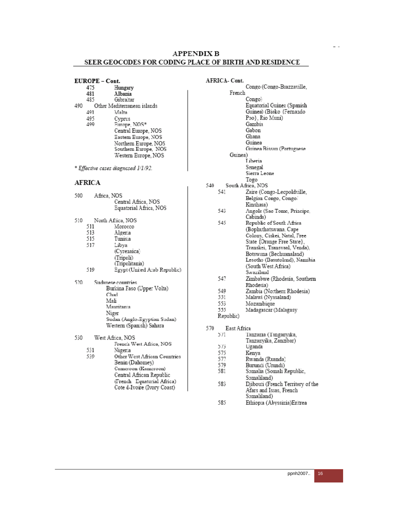- EUROPE Cont.
- 475 Hungary 481 Albania 485 Gibraltar 490 Other Mediterranean islands 491 Malta 495 Cyprus Europe, NOS\*  $400$ Central Europe, NOS Eastem Europe, NOS Northern Europe, NOS Southern Europe, NOS Western Europe, NOS
- \* Effective cases diagnosed 1/1/92.

#### **AFRICA**

500

| 500 | Africa, NOS | Central Africa, NOS<br>Equatorial Africa, NOS |
|-----|-------------|-----------------------------------------------|
| 510 |             | North Africa, NOS                             |
|     | 511         | Morocco                                       |
|     | 513         | Algeria                                       |
|     | 515         | Tunisia                                       |
|     | 517         | Libya                                         |
|     |             | (Cyrenaica)                                   |
|     |             | (Tripoli)                                     |
|     |             | (Tripolitania)                                |
|     | 519         | Egypt (United Arab Republic)                  |
| 520 |             | Sudanese countries                            |
|     |             | Burkina Faso (Upper Volta)                    |
|     | Chad        |                                               |
|     | Mali        |                                               |
|     |             | Mauritania                                    |
|     |             | Niger                                         |
|     |             | Sudan (Anglo-Egyptian Sudan)                  |
|     |             | Western (Spanish) Sahara                      |
| 530 |             | West Africa, NOS                              |
|     |             | French West Africa, NOS                       |
|     | 531         | Nigeria                                       |
|     |             | $\cdots$                                      |

Other West African Countries 539 Benin (Dahomey) Cameroon (Kameroon) Central African Republic (French Equatorial Africa) Cote d-Ivoire (Ivory Coast)

AFRICA- Cont. Congo (Congo-Brazzaville, French Congo) Equatorial Guinea (Spanish Guinea) (Bioko {Fernando Poo}, Rio Muni) Gambia Gabon Ghana Guinea Guinea Bissau (Portuguese Guinea) Liberia Senegal Sierra Leone Togo South Africa, NOS 540 541 Zaire (Congo-Lecpoldville, Belgian Congo, Congo/ Kinshasa) 543 Angola (Sao Tome, Principe, Cabinda) 545 Republic of South Africa (Bophuthatswana, Cape Colony, Ciskei, Natal, Free State {Orange Free State}, Transkei, Transvaal, Venda), Botswana (Bechuanaland) Lesotho (Basutoland), Namibia (South West Africa) Swaziland 547 Zimbabwe (Rhodesia, Southern Rhodesia) Zambia (Northern Rhodesia)<br>Malawi (Nyasaland) 549 551 553 Mozambique Madagascar (Malagasy 555 Republic)

570 East Africa

| 571  | Tanzama (Tanganyika   |
|------|-----------------------|
|      | Tanzanyika, Zanzibar) |
| ヘーパイ |                       |

- 573 Uganda 575 Kenva
- 577 Rwanda (Ruanda)
- 579
- Burundi (Urundi)<br>Somalia (Somali Republic, 581 Somaliland)
- Djibouti (French Territory of the<br>Afars and Issas, French 583 Somaliland)
- 585 Ethiopia (Abyssinia)Eritrea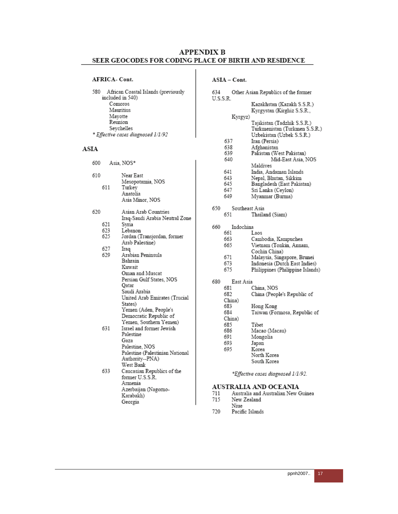#### AFRICA-Cont.

 $580$   $\,$  African Coastal Islands (previously included in  $540)$ Comoros Mauritius Mayotte Reunion Seychelles \* Effective cases diagnosed 1/1/92

#### ASIA

600 Asia, NOS\*

| 610 | 611 | Near East<br>Mesopotamia, NOS<br>Turkey<br>Anatolia<br>Asia Minor, NOS |
|-----|-----|------------------------------------------------------------------------|
| 620 |     | Asian Arab Countries                                                   |
|     |     | Iraq-Saudi Arabia Neutral Zone                                         |
|     | 621 | Syria                                                                  |
|     | 623 | Lebanon                                                                |
|     | 625 | Jordan (Transjordan, former                                            |
|     |     | Arab Palestine)                                                        |
|     | 627 | Iraq                                                                   |
|     | 629 | Arabian Peninsula                                                      |
|     |     | Bahrain                                                                |
|     |     | Kuwait                                                                 |
|     |     | Oman and Muscat                                                        |
|     |     |                                                                        |
|     |     | Persian Gulf States, NOS                                               |
|     |     | Qatar                                                                  |
|     |     | Saudi Arabia                                                           |
|     |     | United Arab Emirates (Trucial                                          |
|     |     | States)                                                                |
|     |     | Yemen (Aden, People's                                                  |
|     |     | Democratic Republic of                                                 |
|     |     | Yemen, Southern Yemen)                                                 |
|     | 631 | Israel and former Jewish                                               |
|     |     | Palestine                                                              |
|     |     | Gaza                                                                   |
|     |     | Palestine, NOS                                                         |
|     |     | Palestine (Palestinian National                                        |
|     |     | Authority--PNA)                                                        |
|     |     | West Bank                                                              |
|     | 633 | Caucasian Republics of the                                             |
|     |     | former U.S.S.R.                                                        |
|     |     | Armenia                                                                |
|     |     | Azerbaijan (Nagomo-                                                    |
|     |     | Karabakh)                                                              |
|     |     | Georgia                                                                |

### $ASIA - Cont.$

| 634      |                | Other Asian Republics of the former |
|----------|----------------|-------------------------------------|
| U.S.S.R. |                |                                     |
|          |                | Kazakhstan (Kazakh S.S.R.)          |
|          |                | Kyrgystan (Kirghiz S.S.R.,          |
|          | Kyrgyz)        |                                     |
|          |                | Tajikistan (Tadzhik S.S.R.)         |
|          |                | Turkmenistan (Turkmen S.S.R.)       |
|          |                | Uzbekistan (Uzbek S.S.R.)           |
|          | 637            | Iran (Persia)                       |
|          | 638            | Afghanistan                         |
|          | 639            | Pakistan (West Pakistan)            |
|          | 640            | Mid-East Asia, NOS                  |
|          |                | Maldives                            |
|          | 641            | India, Andaman Islands              |
|          | 643            | Nepal, Bhutan, Sikkim               |
|          | 645            | Bangladesh (East Pakistan)          |
|          | 647            | Sri Lanka (Ceylon)                  |
|          | 649            | Myanmar (Burma)                     |
|          |                |                                     |
| 650      | Southeast Asia |                                     |
|          | 651            | Thailand (Siam)                     |
|          |                |                                     |
| 660      | Indochina      |                                     |
|          | 661            | Laos                                |
|          | 663            | Cambodia, Kampuchea                 |
|          | 665            | Vietnam (Tonkin, Annam,             |
|          |                | Cochin China)                       |
|          | 671            | Malaysia, Singapore, Brunei         |
|          | 673            | Indonesia (Dutch East Indies)       |
|          | 675            | Philippines (Philippine Islands)    |
|          |                |                                     |
| 680      | East Asia      |                                     |
|          | 681            | China. NOS                          |
|          | 682            | China (People's Republic of         |
|          | China)         |                                     |
|          | 683            | Hong Kong                           |
|          | 684            | Taiwan (Formosa, Republic of        |
|          | China)         |                                     |
|          | 685            | Tibet                               |
|          | 686            | Macao (Macau)                       |
|          | 691            |                                     |
|          |                | Mongolia                            |

- Japan 693
- 695 Korea
	- North Korea South Korea

\*Effective cases diagnosed 1/1/92.

#### AUSTRALIA AND OCEANIA

- $711\,$ Australia and Australian New Guinea
- 715 New Zealand
- Niue
- 720 Pacific Islands